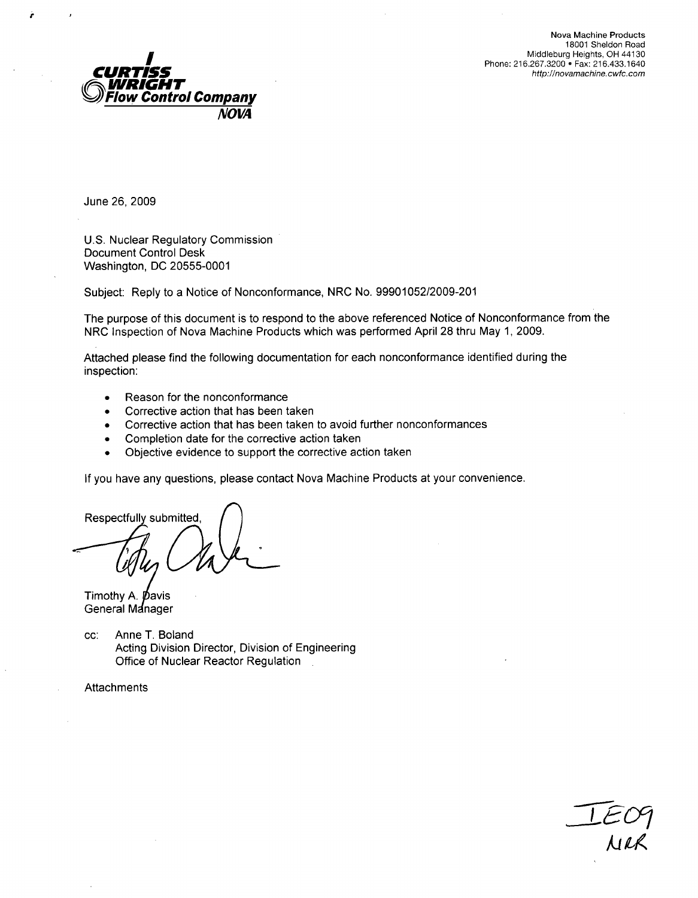

U.S. Nuclear Regulatory Commission Document Control Desk Washington, DC 20555-0001

Subject: Reply to a Notice of Nonconformance, NRC No. 99901052/2009-201

The purpose of this document is to respond to the above referenced Notice of Nonconformance from the NRC Inspection of Nova Machine Products which was performed April 28 thru May 1, 2009.

Attached please find the following documentation for each nonconformance identified during the inspection:

- **"** Reason for the nonconformance
- Corrective action that has been taken
- Corrective action that has been taken to avoid further nonconformances
- **"** Completion date for the corrective action taken
- Objective evidence to support the corrective action taken

If you have any questions, please contact Nova Machine Products at your convenience.

Respectfully submitted.

Timothy A. **Davis** General Manager

cc: Anne T. Boland Acting Division Director, Division of Engineering Office of Nuclear Reactor Regulation

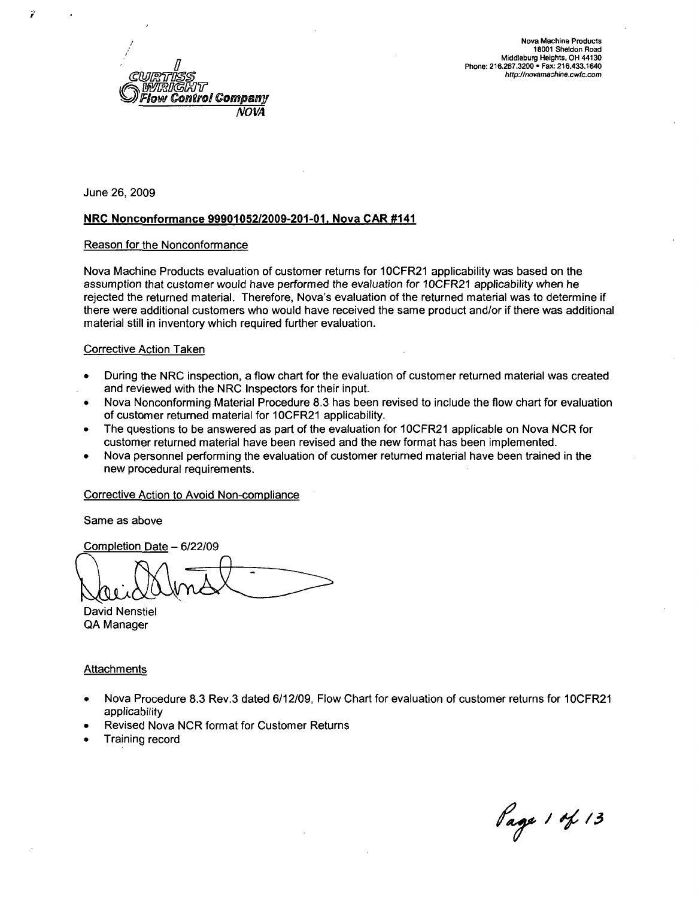

#### NRC Nonconformance **9990105212009-201-01,** Nova CAR #141

#### Reason for the Nonconformance

Nova Machine Products evaluation of customer returns for 1 OCFR21 applicability was based on the assumption that customer would have performed the evaluation for 10CFR21 applicability when he rejected the returned material. Therefore, Nova's evaluation of the returned material was to determine if there were additional customers who would have received the same product and/or if there was additional material still in inventory which required further evaluation.

#### Corrective Action Taken

- **"** During the NRC inspection, a flow chart for the evaluation of customer returned material was created and reviewed with the NRC Inspectors for their input.
- Nova Nonconforming Material Procedure 8.3 has been revised to include the flow chart for evaluation of customer returned material for 10CFR21 applicability.
- The questions to be answered as part of the evaluation for 10CFR21 applicable on Nova NCR for customer returned material have been revised and the new format has been implemented.
- \* Nova personnel performing the evaluation of customer returned material have been trained in the new procedural requirements.

#### Corrective Action to Avoid Non-compliance

Same as above

Completion Date - 6/22/09

David Nenstiel QA Manager

- Nova Procedure 8.3 Rev.3 dated 6/12/09, Flow Chart for evaluation of customer returns for 10CFR21 applicability
- Revised Nova NCR format for Customer Returns
- Training record

Page 1 of 13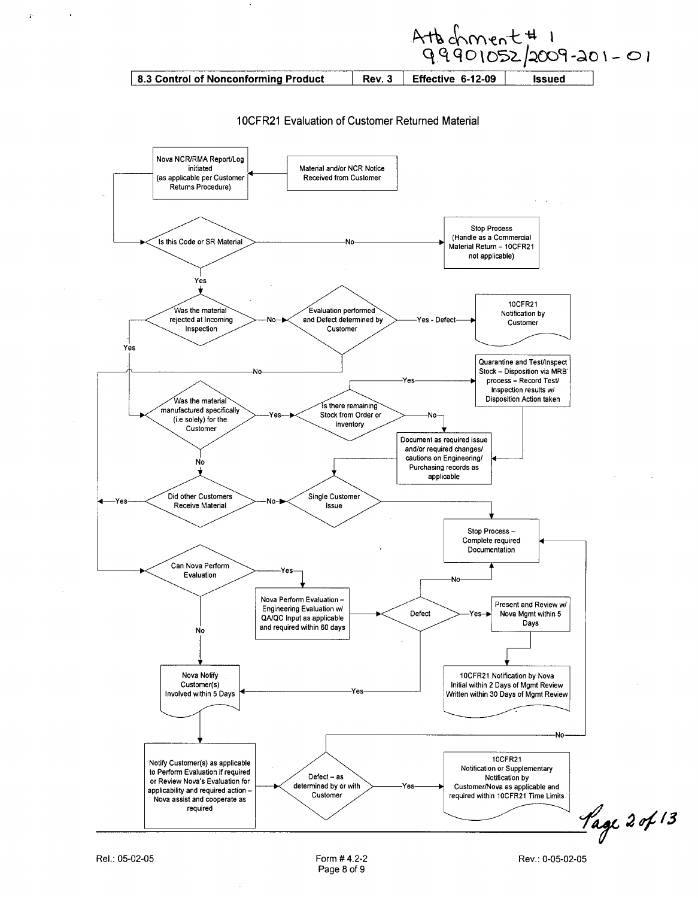Atb chment#1<br>99901052/2009-201-01 Rev. 3 8.3 Control of Nonconforming Product Effective 6-12-09 **Issued** 

10CFR21 Evaluation of Customer Returned Material

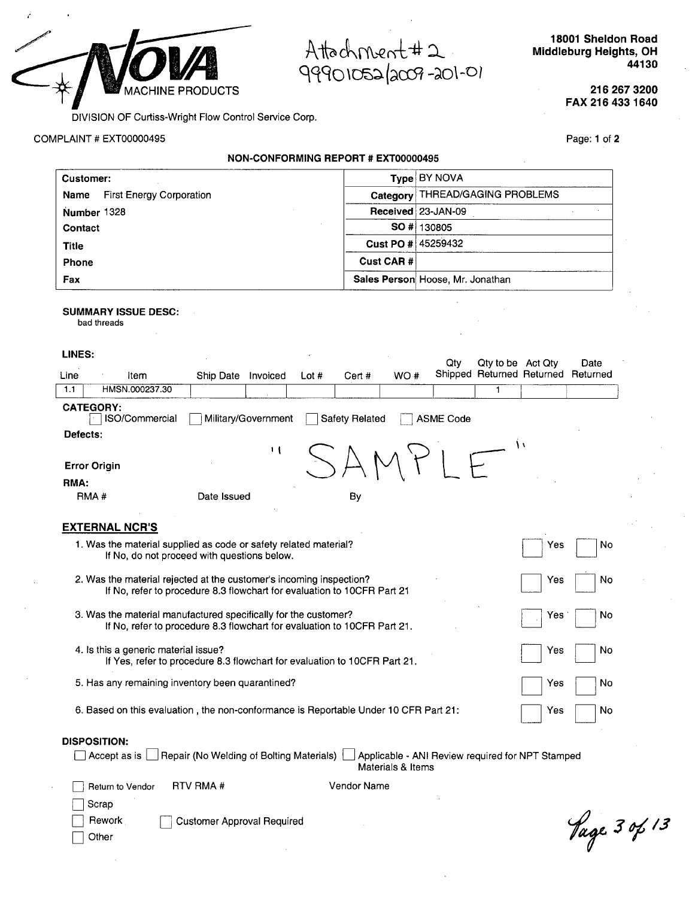

Attachment#2 99901052/2009-201-01

**18001** Sheldon Road Middleburg Heights, OH 44130

> **216 267 3200** FAX **216** 433 1640

DIVISION OF Curtiss-Wright Flow Control Service Corp.

COMPLAINT # EXT00000495

**NON-CONFORMING** REPORT **#** EXT00000495

Page: 1 of 2

| <b>Customer:</b>                        |                    | Type BY NOVA                     |  |  |
|-----------------------------------------|--------------------|----------------------------------|--|--|
| <b>First Energy Corporation</b><br>Name |                    | Category THREAD/GAGING PROBLEMS  |  |  |
| Number 1328                             |                    | Received 23-JAN-09               |  |  |
| Contact                                 |                    | SO # 130805                      |  |  |
| <b>Title</b>                            | Cust PO # 45259432 |                                  |  |  |
| Phone                                   | Cust CAR#          |                                  |  |  |
| Fax                                     |                    | Sales Person Hoose, Mr. Jonathan |  |  |

#### SUMMARY **ISSUE DESC:**

bad threads

 $\sqrt{ }$ 

| LINES:   |                                                                                                                                                             |             |                     |         |                |                 | Qtv              | Qty to be Act Qty         |     | Date     |
|----------|-------------------------------------------------------------------------------------------------------------------------------------------------------------|-------------|---------------------|---------|----------------|-----------------|------------------|---------------------------|-----|----------|
| Line     | Item                                                                                                                                                        | Ship Date   | Invoiced            | Lot $#$ | Cert #         | WO <sup>#</sup> |                  | Shipped Returned Returned |     | Returned |
| 1.1      | HMSN.000237.30                                                                                                                                              |             |                     |         |                |                 |                  | 1                         |     |          |
|          | <b>CATEGORY:</b><br>ISO/Commercial                                                                                                                          |             | Military/Government |         | Safety Related |                 | <b>ASME Code</b> |                           |     |          |
| Defects: |                                                                                                                                                             |             |                     |         |                |                 |                  | ۱۱                        |     |          |
|          | <b>Error Origin</b>                                                                                                                                         |             | $\mathbf{1}$        |         |                |                 |                  |                           |     |          |
| RMA:     |                                                                                                                                                             |             |                     |         |                |                 |                  |                           |     |          |
|          | RMA <sup>#</sup>                                                                                                                                            | Date Issued |                     |         | By             |                 |                  |                           |     |          |
|          | <b>EXTERNAL NCR'S</b>                                                                                                                                       |             |                     |         |                |                 |                  |                           |     |          |
|          | 1. Was the material supplied as code or safety related material?<br>If No, do not proceed with questions below.                                             |             |                     |         |                |                 |                  |                           | Yes | No       |
|          | 2. Was the material rejected at the customer's incoming inspection?<br>No<br>Yes<br>If No, refer to procedure 8.3 flowchart for evaluation to 10CFR Part 21 |             |                     |         |                |                 |                  |                           |     |          |
|          | 3. Was the material manufactured specifically for the customer?<br>If No, refer to procedure 8.3 flowchart for evaluation to 10CFR Part 21.                 |             |                     |         |                |                 |                  |                           | Yes | No.      |
|          | 4. Is this a generic material issue?<br>If Yes, refer to procedure 8.3 flowchart for evaluation to 10CFR Part 21.                                           |             |                     |         |                |                 |                  |                           | Yes | No       |
|          | 5. Has any remaining inventory been quarantined?                                                                                                            |             |                     |         |                |                 |                  |                           | Yes | No       |
|          | 6. Based on this evaluation, the non-conformance is Reportable Under 10 CFR Part 21:                                                                        |             |                     |         |                |                 |                  |                           | Yes | No       |

#### **DISPOSITION:**

| □ Accept as is □ Repair (No Welding of Bolting Materials) □ Applicable - ANI Review required for NPT Stamped |                   |
|--------------------------------------------------------------------------------------------------------------|-------------------|
|                                                                                                              | Materials & Items |

| Return to Vendor | RTV RMA #                  | Vendor Name |
|------------------|----------------------------|-------------|
| Scrap            |                            |             |
| Rework           | Customer Approval Required |             |
| Other            |                            |             |

Vage 3 of 13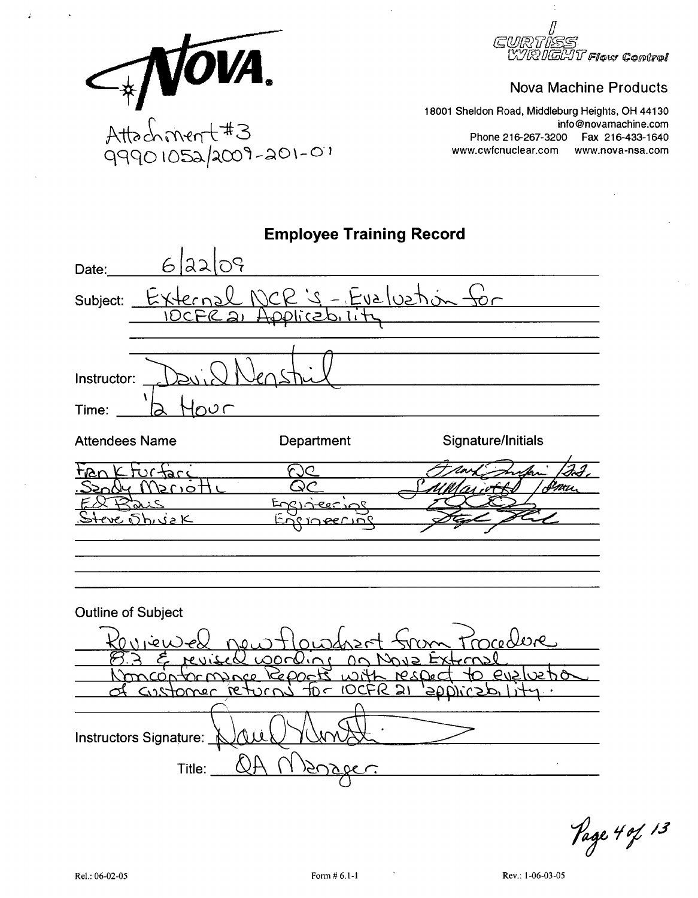

*IRIGHT Flow Control* 

### **Nova Machine Products**

18001 Sheldon Road, Middleburg Heights, OH 44130 info@novamachine.com Phone 216-267-3200 Fax 216-433-1640 www.cwfcnuclear.com www.nova-nsa.com

| <b>Employee Training Record</b>                                                                                                                                                                    |
|----------------------------------------------------------------------------------------------------------------------------------------------------------------------------------------------------|
| 6/22/09<br>Date:                                                                                                                                                                                   |
| <u> 2 NCR 's - Evalustion for</u><br>Subject: Externa<br><u>icabili</u><br>C١                                                                                                                      |
| Instructor:<br>່ກບເ<br>Time:<br><u> 1980 - Jan Barbara Barat, martin da basar</u>                                                                                                                  |
| Signature/Initials<br><b>Attendees Name</b><br>Department                                                                                                                                          |
| Jrtare<br>τιδι<br>/5 ( 10 .<br>Engineerine<br>くめつく<br>eve ShivaK                                                                                                                                   |
| <b>Outline of Subject</b>                                                                                                                                                                          |
| redere<br><u>working</u> or<br><i>S v O</i><br>evalue <sup>.</sup><br>NesDec<br>$n$ $n$ $n$<br>Reports with<br><u>tor IOCFR 21</u><br><u>Homer retur</u><br>Instructors Signature:<br>AØ<br>Title: |

Page 4 of 13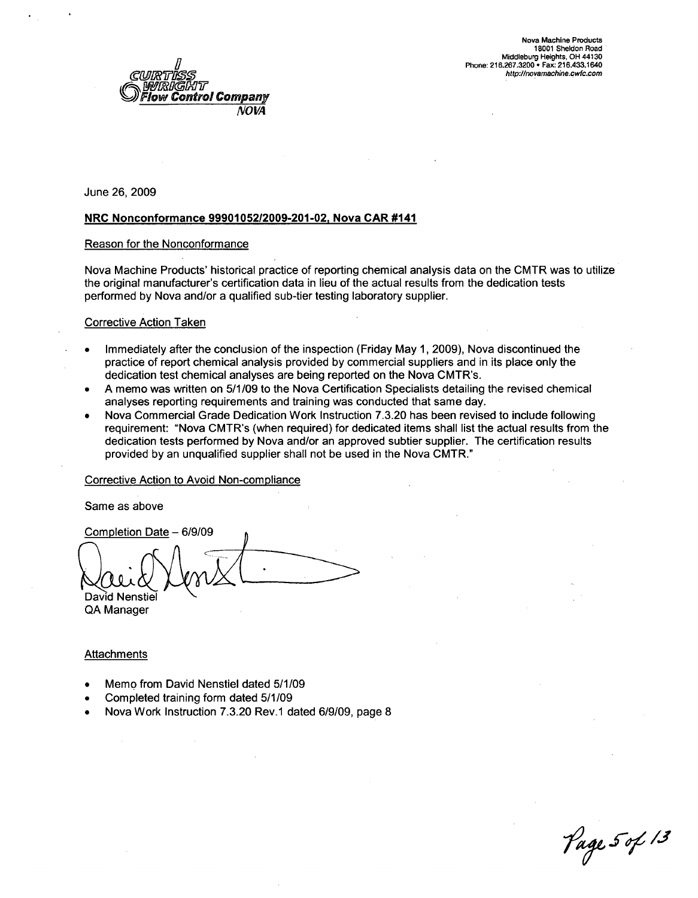

#### NRC Nonconformance **99901052/2009-201-02.** Nova CAR #141

#### Reason for the Nonconformance

Nova Machine Products' historical practice of reporting chemical analysis data on the CMTR was to utilize the original manufacturer's certification data in lieu of the actual results from the dedication tests performed by Nova and/or a qualified sub-tier testing laboratory supplier.

#### Corrective Action Taken

- Immediately after the conclusion of the inspection (Friday May 1, 2009), Nova discontinued the practice of report chemical analysis provided by commercial suppliers and in its place only the dedication test chemical analyses are being reported on the Nova CMTR's.
- A memo was written on 5/1/09 to the Nova Certification Specialists detailing the revised chemical analyses reporting requirements and training was conducted that same day.
- Nova Commercial Grade Dedication Work Instruction 7.3.20 has been revised to include following requirement: "Nova CMTR's (when required) for dedicated items shall list the actual results from the dedication tests performed by Nova and/or an approved subtier supplier. The certification results provided by an unqualified supplier shall not be used in the Nova CMTR."

#### Corrective Action to Avoid Non-compliance

Same as above

Completion Date - 6/9/09 David Nenstie QA Manager

- **0** Memo from David Nenstiel dated 5/1/09
- **0** Completed training form dated 5/1/09
- **0** Nova Work Instruction 7.3.20 Rev.1 dated 6/9/09, page 8

*7 6 J-ýelj*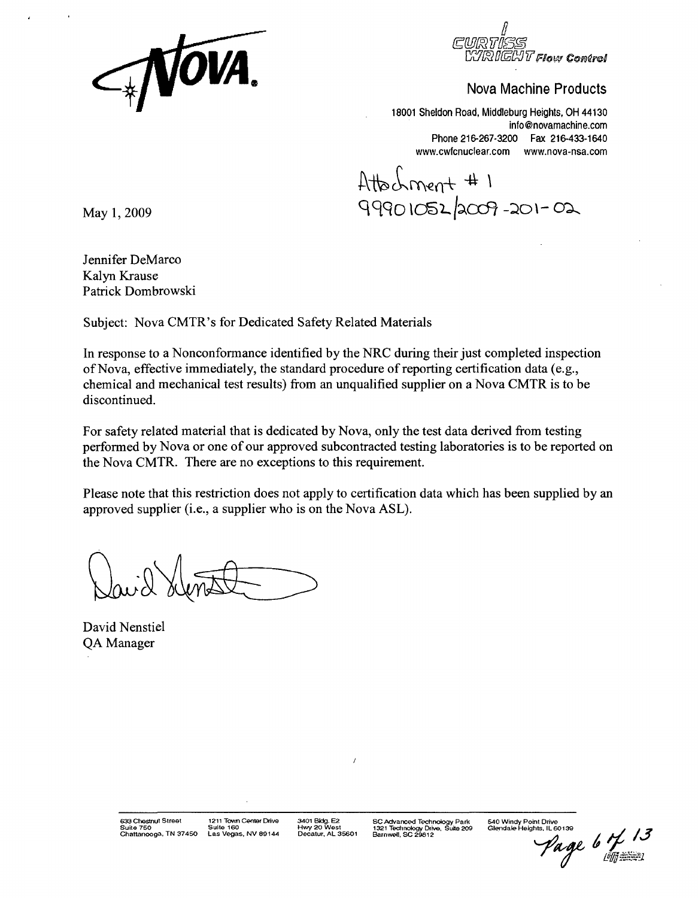

ฟ*ิโ Fl*ow Control

18001 Sheldon Road, Middleburg Heights, OH 44130 info@novamachine.com Phone 216-267-3200 Fax 216-433-1640 www.cwfcnuclear.com www.nova-nsa.com

Atto Lment #1<br>May 1, 2009 **COP 201-02** 

Jennifer DeMarco Kalyn Krause Patrick Dombrowski

Subject: Nova CMTR's for Dedicated Safety Related Materials

In response to a Nonconformance identified by the NRC during their just completed inspection of Nova, effective immediately, the standard procedure of reporting certification data (e.g., chemical and mechanical test results) from an unqualified supplier on a Nova CMTR is to be discontinued.

For safety related material that is dedicated by Nova, only the test data derived from testing performed by Nova or one of our approved subcontracted testing laboratories is to be reported on the Nova CMTR. There are no exceptions to this requirement.

Please note that this restriction does not apply to certification data which has been supplied by an approved supplier (i.e., a supplier who is on the Nova ASL).

David Nenstiel QA Manager

540 Windy **Point** Drive Glendale Heights, **IL 60139**

Page 6 i<br>J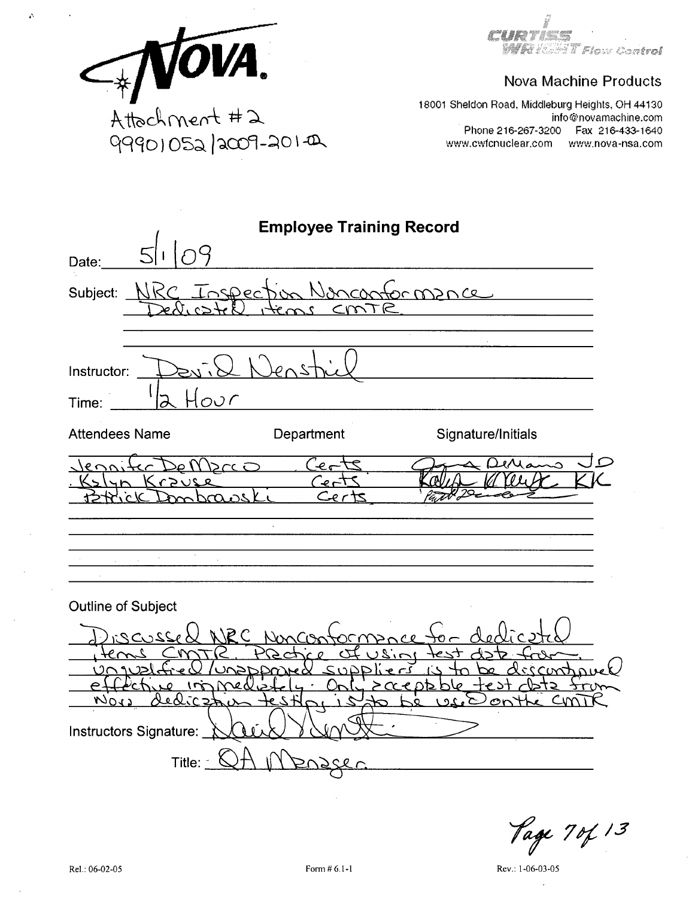safan itu ka kan Gor**tral** 

# **Nova Machine Products**

ATOVA. 99901052/2009-201-0

 $\Delta$ 

18001 Sheldon Road, Middleburg Heights, OH 44130 info@novamachine.com Phone 216-267-3200 Fax 216-433-1640 www.cwfcnuclear.com www.nova-nsa.com

| <b>Employee Training Record</b>                                                                                                                                                                   |
|---------------------------------------------------------------------------------------------------------------------------------------------------------------------------------------------------|
| Date:                                                                                                                                                                                             |
| Inspection Nonconformance<br>NRC<br>Subject: _                                                                                                                                                    |
| Instructor:<br>Hour<br>Time:                                                                                                                                                                      |
| <b>Attendees Name</b><br>Department<br>Signature/Initials                                                                                                                                         |
| 120<br>ا مد<br>Drc O<br>Krzuse<br>Cer<br>$\overline{\mathsf{C}}$ er                                                                                                                               |
| <b>Outline of Subject</b><br>NIEC NUCON<br>3220221<br>റന്ന<br>2i<br>CJ<br>CIADD<br>7570<br>${}^>CCCDD$<br>لہ ہ<br><u>دهازد ع</u><br>いいい<br>╱<br>Le vi<br>on<br>Instructors Signature:<br>Title: - |

Page 70f 13

Rev.: 1-06-03-05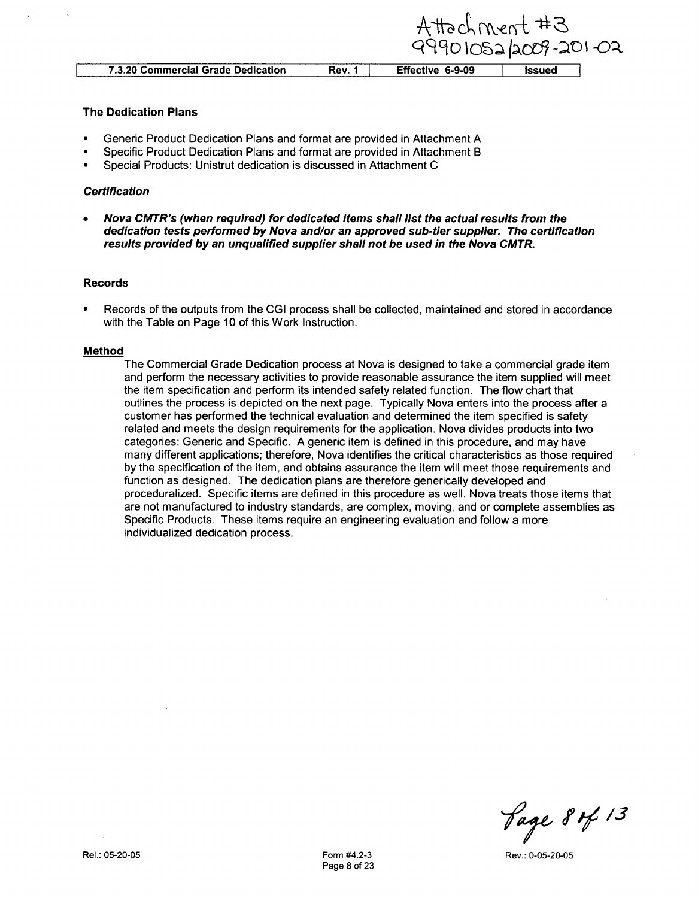|                                    |        | 9990105212009-20 |        |
|------------------------------------|--------|------------------|--------|
| 7.3.20 Commercial Grade Dedication | Rev. 1 | Effective 6-9-09 | Issued |

ttachment #3

 $1 - \Omega$ 

#### The Dedication Plans

- **"** Generic Product Dedication Plans and format are provided in Attachment A
- **"** Specific Product Dedication Plans and format are provided in Attachment B
- **"** Special Products: Unistrut dedication is discussed in Attachment **C**

#### *Certification*

**\*** *Nova CMTR's (when required) for dedicated items shall list the actual results from the dedication tests performed by Nova and/or an approved sub-tier supplier. The certification results provided by an unqualified supplier shall not be used in the Nova CMTR.*

#### Records

\* Records of the outputs from the **CGI** process shall be collected, maintained and stored in accordance with the Table on Page 10 of this Work Instruction.

#### Method

The Commercial Grade Dedication process at Nova is designed to take a commercial grade item and perform the necessary activities to provide reasonable assurance the item supplied will meet the item specification and perform its intended safety related function. The flow chart that outlines the process is depicted on the next page. Typically Nova enters into the process after a customer has performed the technical evaluation and determined the item specified is safety related and meets the design requirements for the application. Nova divides products into two categories: Generic and Specific. A generic item is defined in this procedure, and may have many different applications; therefore, Nova identifies the critical characteristics as those required by the specification of the item, and obtains assurance the item will meet those requirements and function as designed. The dedication plans are therefore generically developed and proceduralized. Specific items are defined in this procedure as well. Nova treats those items that are not manufactured to industry standards, are complex, moving, and or complete assemblies as Specific Products. These items require an engineering evaluation and follow a more individualized dedication process.

**7 ý** *JR Jýe <sup>13</sup>*

Rev.: 0-05-20-05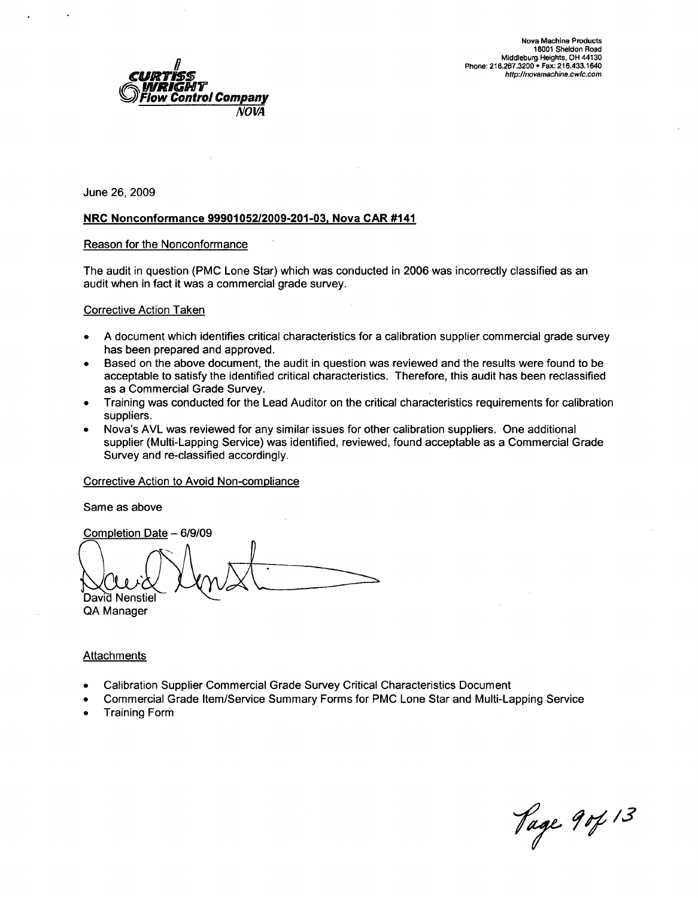

#### NRC Nonconformance **9990105212009-201-03,** Nova CAR #141

#### Reason for the Nonconformance

The audit in question (PMC Lone Star) which was conducted in 2006 was incorrectly classified as an audit when in fact it was a commercial grade survey.

#### Corrective Action Taken

- A document which identifies critical characteristics for a calibration supplier commercial grade survey has been prepared and approved.
- Based on the above document, the audit in question was reviewed and the results were found to be acceptable to satisfy the identified critical characteristics. Therefore, this audit has been reclassified as a Commercial Grade Survey.
- **"** Training was conducted for the Lead Auditor on the critical characteristics requirements for calibration suppliers.
- \* Nova's AVL was reviewed for any similar issues for other calibration suppliers. One additional supplier (Multi-Lapping Service) was identified, reviewed, found acceptable as a Commercial Grade Survey and re-classified accordingly.

#### Corrective Action to Avoid Non-compliance

Same as above

Completion Date - 6/9/09 David Nenstiel

QA Manager

- **0** Calibration Supplier Commercial Grade Survey Critical Characteristics Document
- **0** Commercial Grade Item/Service Summary Forms for PMC Lone Star and Multi-Lapping Service
- **S** Training Form

*7ý fjý& 13*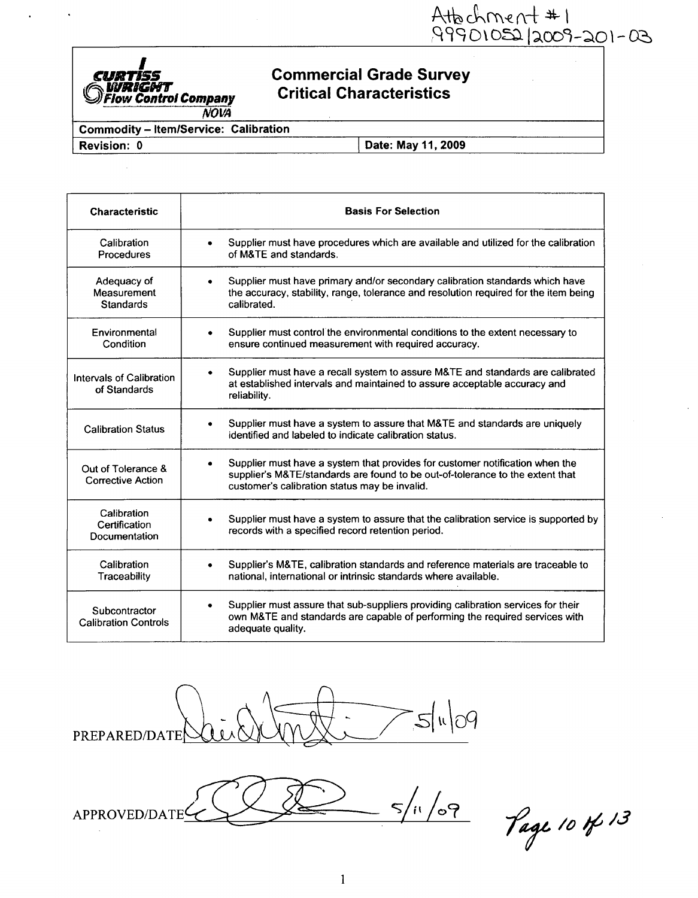Attechment #1<br>99901052/2009-201-03

## **Commercial Grade Survey Critical Characteristics**

**WRIGHT**<br>Flow Control Company **NOVA** 

**Commodity - Item/Service: Calibration** 

Revision: 0

Club

Date: May 11, 2009

| <b>Characteristic</b>                          | <b>Basis For Selection</b>                                                                                                                                                                                          |  |  |  |
|------------------------------------------------|---------------------------------------------------------------------------------------------------------------------------------------------------------------------------------------------------------------------|--|--|--|
| Calibration<br>Procedures                      | Supplier must have procedures which are available and utilized for the calibration<br>$\bullet$<br>of M&TE and standards.                                                                                           |  |  |  |
| Adequacy of<br>Measurement<br><b>Standards</b> | Supplier must have primary and/or secondary calibration standards which have<br>$\bullet$<br>the accuracy, stability, range, tolerance and resolution required for the item being<br>calibrated.                    |  |  |  |
| Environmental<br>Condition                     | Supplier must control the environmental conditions to the extent necessary to<br>$\bullet$<br>ensure continued measurement with required accuracy.                                                                  |  |  |  |
| Intervals of Calibration<br>of Standards       | Supplier must have a recall system to assure M&TE and standards are calibrated<br>٠<br>at established intervals and maintained to assure acceptable accuracy and<br>reliability.                                    |  |  |  |
| <b>Calibration Status</b>                      | Supplier must have a system to assure that M&TE and standards are uniquely<br>٠<br>identified and labeled to indicate calibration status.                                                                           |  |  |  |
| Out of Tolerance &<br><b>Corrective Action</b> | Supplier must have a system that provides for customer notification when the<br>٠<br>supplier's M&TE/standards are found to be out-of-tolerance to the extent that<br>customer's calibration status may be invalid. |  |  |  |
| Calibration<br>Certification<br>Documentation  | Supplier must have a system to assure that the calibration service is supported by<br>٠<br>records with a specified record retention period.                                                                        |  |  |  |
| Calibration<br>Traceability                    | Supplier's M&TE, calibration standards and reference materials are traceable to<br>national, international or intrinsic standards where available.                                                                  |  |  |  |
| Subcontractor<br><b>Calibration Controls</b>   | Supplier must assure that sub-suppliers providing calibration services for their<br>٠<br>own M&TE and standards are capable of performing the required services with<br>adequate quality.                           |  |  |  |



 $5/10^{11/2}$ APPROVED/DATE

Page 10 of 13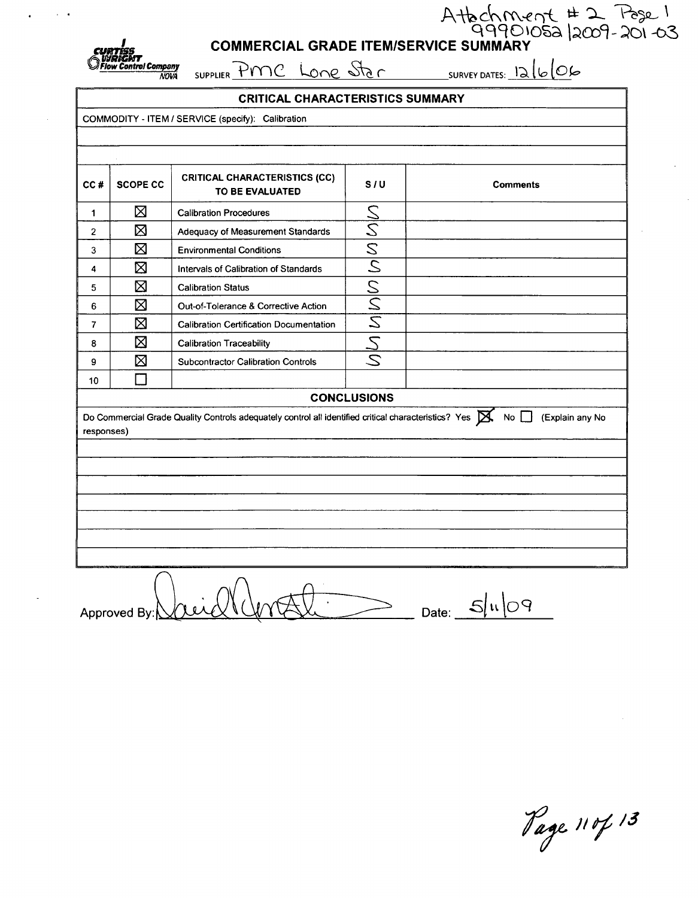

# Attochment #2 Pose 1<br>COMMERCIAL GRADE ITEM/SERVICE SUMMARY

SUPPLIER PMC Lone Star SURVEY DATES: 12/6/06

| <b>CRITICAL CHARACTERISTICS SUMMARY</b>                                                                                                                        |                 |                                                         |                    |                 |  |  |
|----------------------------------------------------------------------------------------------------------------------------------------------------------------|-----------------|---------------------------------------------------------|--------------------|-----------------|--|--|
|                                                                                                                                                                |                 | COMMODITY - ITEM / SERVICE (specify): Calibration       |                    |                 |  |  |
|                                                                                                                                                                |                 |                                                         |                    |                 |  |  |
|                                                                                                                                                                |                 |                                                         |                    |                 |  |  |
| CC#                                                                                                                                                            | <b>SCOPE CC</b> | <b>CRITICAL CHARACTERISTICS (CC)</b><br>TO BE EVALUATED | S/U                | <b>Comments</b> |  |  |
| 1                                                                                                                                                              | ⊠               | <b>Calibration Procedures</b>                           |                    |                 |  |  |
| $\overline{2}$                                                                                                                                                 | ⊠               | Adequacy of Measurement Standards                       |                    |                 |  |  |
| 3                                                                                                                                                              | ⊠               | <b>Environmental Conditions</b>                         |                    |                 |  |  |
| 4                                                                                                                                                              | ⊠               | Intervals of Calibration of Standards                   | MMMMMMMM           |                 |  |  |
| ⊠<br><b>Calibration Status</b><br>5                                                                                                                            |                 |                                                         |                    |                 |  |  |
| 6                                                                                                                                                              | ⊠               | Out-of-Tolerance & Corrective Action                    |                    |                 |  |  |
| 7                                                                                                                                                              | ⊠               | <b>Calibration Certification Documentation</b>          |                    |                 |  |  |
| 8                                                                                                                                                              | ⊠               | <b>Calibration Traceability</b>                         |                    |                 |  |  |
| 9                                                                                                                                                              | ⊠               | <b>Subcontractor Calibration Controls</b>               | $\mathcal{Z}$      |                 |  |  |
| 10                                                                                                                                                             | $\mathcal{L}$   |                                                         |                    |                 |  |  |
|                                                                                                                                                                |                 |                                                         | <b>CONCLUSIONS</b> |                 |  |  |
| Do Commercial Grade Quality Controls adequately control all identified critical characteristics? Yes $\boxtimes$<br>No $\Box$<br>(Explain any No<br>responses) |                 |                                                         |                    |                 |  |  |
|                                                                                                                                                                |                 |                                                         |                    |                 |  |  |
|                                                                                                                                                                |                 |                                                         |                    |                 |  |  |
|                                                                                                                                                                |                 |                                                         |                    |                 |  |  |
|                                                                                                                                                                |                 |                                                         |                    |                 |  |  |
|                                                                                                                                                                |                 |                                                         |                    |                 |  |  |
|                                                                                                                                                                |                 |                                                         |                    |                 |  |  |
|                                                                                                                                                                |                 |                                                         |                    |                 |  |  |

 $\sum_{\text{Date:}}$   $\frac{5|u|09}{ }$ Approved By:

Page 110/13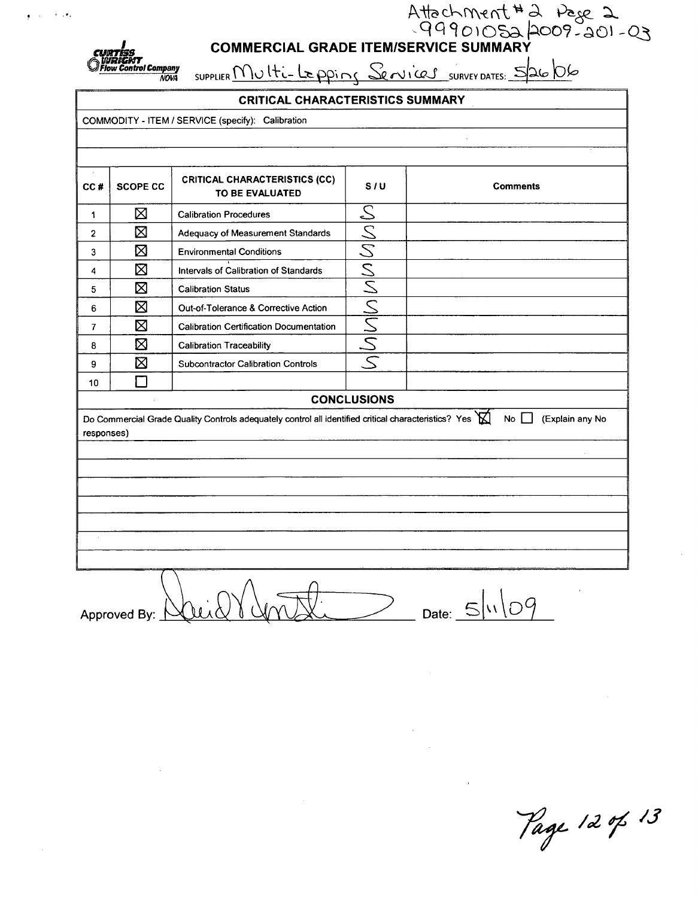ntrol Company<br>NOVA

# Attachment #2 Page 2<br>COMMERCIAL GRADE ITEM/SERVICE SUMMARY

SUPPLIER Multi-Lepping Services SURVEY DATES: 5/26/06

### **CRITICAL CHARACTERISTICS SUMMARY**

COMMODITY - ITEM / SERVICE (specify): Calibration

| $\sim$<br>CC# | <b>SCOPE CC</b>    | <b>CRITICAL CHARACTERISTICS (CC)</b><br>TO BE EVALUATED                                                     | S/U    | <b>Comments</b>             |  |  |
|---------------|--------------------|-------------------------------------------------------------------------------------------------------------|--------|-----------------------------|--|--|
| 1             | ⊠                  | <b>Calibration Procedures</b>                                                                               | S      |                             |  |  |
| $\mathbf{2}$  | ⊠                  | Adequacy of Measurement Standards                                                                           |        |                             |  |  |
| 3             | ⊠                  | <b>Environmental Conditions</b>                                                                             | MMMMMM |                             |  |  |
| 4             | ⊠                  | Intervals of Calibration of Standards                                                                       |        |                             |  |  |
| 5             | ⊠                  | <b>Calibration Status</b>                                                                                   |        |                             |  |  |
| 6             | 区                  | Out-of-Tolerance & Corrective Action                                                                        |        |                             |  |  |
| 7             | ⊠                  | <b>Calibration Certification Documentation</b>                                                              |        |                             |  |  |
| 8             | ⊠                  | <b>Calibration Traceability</b>                                                                             |        |                             |  |  |
| 9             | ⊠                  | <b>Subcontractor Calibration Controls</b>                                                                   |        |                             |  |  |
| 10            |                    |                                                                                                             |        |                             |  |  |
|               | <b>CONCLUSIONS</b> |                                                                                                             |        |                             |  |  |
| responses)    |                    | Do Commercial Grade Quality Controls adequately control all identified critical characteristics? Yes $\sum$ |        | $No$    <br>(Explain any No |  |  |
|               |                    |                                                                                                             |        |                             |  |  |
|               |                    |                                                                                                             |        |                             |  |  |
|               |                    |                                                                                                             |        |                             |  |  |
|               |                    |                                                                                                             |        |                             |  |  |
|               |                    |                                                                                                             |        |                             |  |  |
|               |                    |                                                                                                             |        |                             |  |  |
|               |                    |                                                                                                             |        |                             |  |  |

Date:  $5\sqrt{09}$ Approved By:  $\uparrow$ 

Page 12 of 13